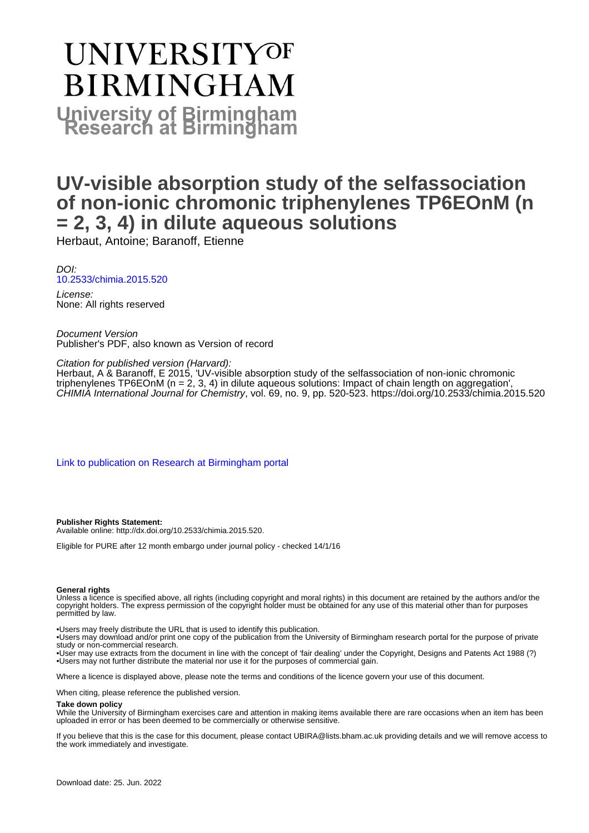# **UNIVERSITYOF BIRMINGHAM University of Birmingham**

### **UV-visible absorption study of the selfassociation of non-ionic chromonic triphenylenes TP6EOnM (n = 2, 3, 4) in dilute aqueous solutions**

Herbaut, Antoine; Baranoff, Etienne

DOI: [10.2533/chimia.2015.520](https://doi.org/10.2533/chimia.2015.520)

License: None: All rights reserved

Document Version Publisher's PDF, also known as Version of record

Citation for published version (Harvard):

Herbaut, A & Baranoff, E 2015, 'UV-visible absorption study of the selfassociation of non-ionic chromonic triphenylenes TP6EOnM (n = 2, 3, 4) in dilute aqueous solutions: Impact of chain length on aggregation', CHIMIA International Journal for Chemistry, vol. 69, no. 9, pp. 520-523. <https://doi.org/10.2533/chimia.2015.520>

[Link to publication on Research at Birmingham portal](https://birmingham.elsevierpure.com/en/publications/73cfefc1-c19b-4f00-939c-1751be202f03)

**Publisher Rights Statement:** Available online: http://dx.doi.org/10.2533/chimia.2015.520.

Eligible for PURE after 12 month embargo under journal policy - checked 14/1/16

#### **General rights**

Unless a licence is specified above, all rights (including copyright and moral rights) in this document are retained by the authors and/or the copyright holders. The express permission of the copyright holder must be obtained for any use of this material other than for purposes permitted by law.

• Users may freely distribute the URL that is used to identify this publication.

• Users may download and/or print one copy of the publication from the University of Birmingham research portal for the purpose of private study or non-commercial research.

• User may use extracts from the document in line with the concept of 'fair dealing' under the Copyright, Designs and Patents Act 1988 (?) • Users may not further distribute the material nor use it for the purposes of commercial gain.

Where a licence is displayed above, please note the terms and conditions of the licence govern your use of this document.

When citing, please reference the published version.

#### **Take down policy**

While the University of Birmingham exercises care and attention in making items available there are rare occasions when an item has been uploaded in error or has been deemed to be commercially or otherwise sensitive.

If you believe that this is the case for this document, please contact UBIRA@lists.bham.ac.uk providing details and we will remove access to the work immediately and investigate.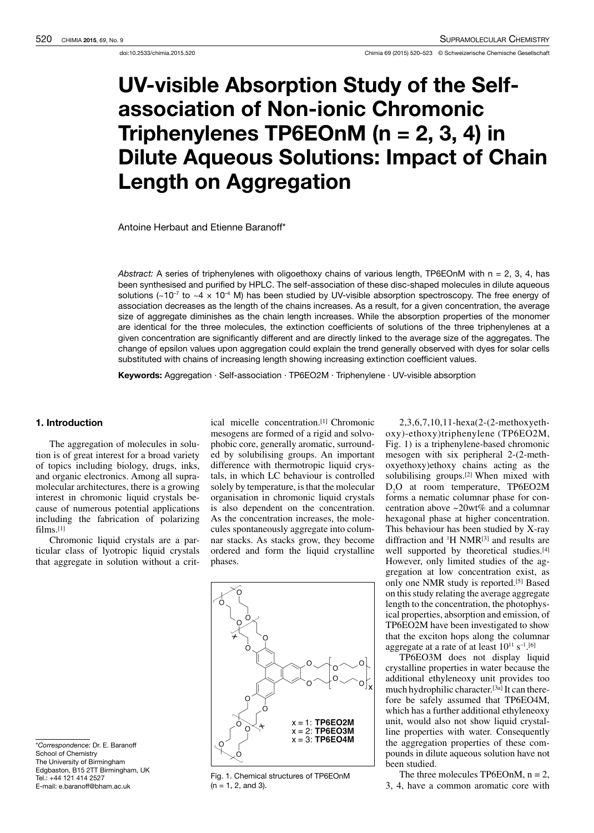## UV-visible Absorption Study of the Selfassociation of Non-ionic Chromonic Triphenylenes TP6EOnM ( $n = 2, 3, 4$ ) in Dilute Aqueous Solutions: Impact of Chain Length on Aggregation

Antoine Herbaut and Etienne Baranoff\*

Abstract: A series of triphenylenes with oligoethoxy chains of various length, TP6EOnM with n = 2, 3, 4, has been synthesised and purified by HPLC. The self-association of these disc-shaped molecules in dilute aqueous solutions ( $~10^{-7}$  to  $~4 \times 10^{-4}$  M) has been studied by UV-visible absorption spectroscopy. The free energy of association decreases as the length of the chains increases. As a result, for a given concentration, the average size of aggregate diminishes as the chain length increases. While the absorption properties of the monomer are identical for the three molecules, the extinction coefficients of solutions of the three triphenylenes at a given concentration are significantly different and are directly linked to the average size of the aggregates. The change of epsilon values upon aggregation could explain the trend generally observed with dyes for solar cells substituted with chains of increasing length showing increasing extinction coefficient values.

Keywords: Aggregation · Self-association · TP6EO2M · Triphenylene · UV-visible absorption

#### 1. Introduction

The aggregation of molecules in solution is of great interest for a broad variety of topics including biology, drugs, inks, and organic electronics. Among all supraand organic electronics. Among all supramolecular architectures, there is a growing interest in chromonic liquid crystals because of numerous potential applications including the fabrication of polarizing films.[1]

Chromonic liquid crystals are a particular class of lyotropic liquid crystals that aggregate in solution without a critical micelle concentration.<sup>[1]</sup> Chromonic<br>mesogens are formed of a rigid and solvophobic core, generally aromatic, surroundphobic core, generally aromatic, surrounded by solubilising groups. An important difference with thermotropic liquid crystals, in which LC behaviour is controlled solely by temperature, is that the molecular organisation in chromonic liquid crystals is also dependent on the concentration. As the concentration increases, the molecules spontaneously aggregate into columnar stacks. As stacks grow, they become ordered and form the liquid crystalline phases.



\*Correspondence: Dr. E. Baranoff School of Chemistry The University of Birmingham Edgbaston, B15 2TT Birmingham, UK Tel.: +44 121 414 2527 E-mail: e.baranoff@bham.ac.uk

Fig. 1. Chemical structures of TP6EOnM  $(n = 1, 2, and 3)$ .

2,3,6,7,10,11-hexa(2-(2-methoxyethoxy)-ethoxy)triphenylene (TP6EO2M, Fig. 1) is a triphenylene-based chromonic  $m$ esogen with six peripheral  $2-(2-m$ ethoxyethoxy)ethoxy chains acting as the solubilising groups.[2] When mixed with D2O at room temperature, TP6EO2M forms a nematic columnar phase for concentration above ~20wt% and a columnar hexagonal phase at higher concentration.<br>This behaviour has been studied by X-ray This behaviour has been studied by  $X$ -ray diffraction and  $H \text{ NMR}^{[3]}$  and results are well supported by theoretical studies.<sup>[4]</sup> However, only limited studies of the ag-However, only limited studies of the aggregation at low concentration exist, as only one NMR study is reported.[5] Based on thisstudy relating the average aggregate length to the concentration, the photophysical properties, absorption and emission, of TP6EO2M have been investigated to show that the exciton hops along the columnar aggregate at a rate of at least  $10^{11} S^{-1}$ .

TP6EO3M does not display liquid crystalline properties in water because the additional ethyleneoxy unit provides too much hydrophilic character.<sup>[3a]</sup> It can therefore be safely assumed that TP6EO4M,<br>which has a further additional ethyleneoxy which has a further additional ethyleneoxy unit, would also not show liquid crystalline properties with water. Consequently the aggregation properties of these compounds in dilute aqueous solution have not been studied.

The three molecules  $TP6EOnM$ ,  $n = 2$ , 3, 4, have a common aromatic core with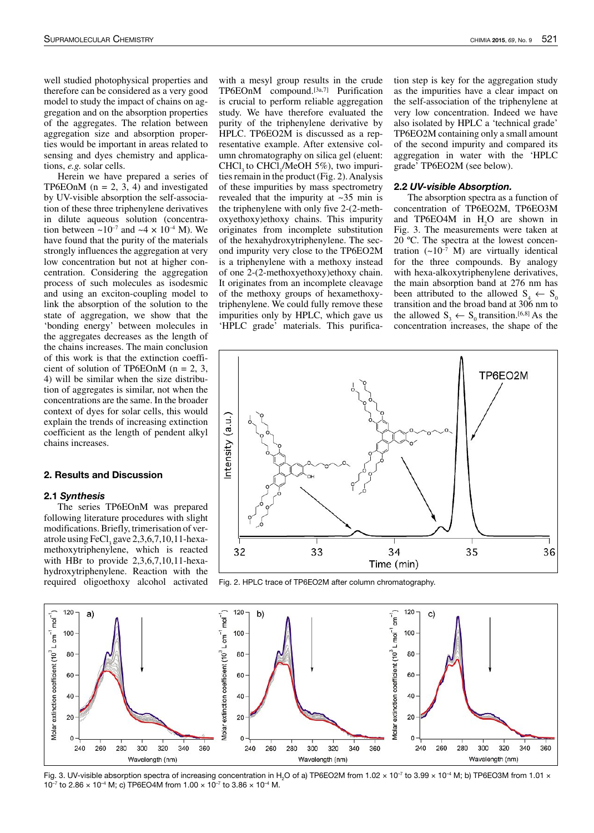well studied photophysical properties and therefore can be considered as a very good model to study the impact of chains on aggregation and on the absorption properties of the aggregates. The relation between ties would be important in areas related to ties would be important in areas related to sensing and dyes chemistry and applications, *e.g.* solar cells.<br>Herein we have prepared a series of

Herein we have prepared a series of TP6EOnN ( $n = 2, 3, 4$ ) and investigated by UV-visible absorption the self-association of these three triphenylene derivatives in dilute aqueous solution (concentrain dilute aqueous solution (concentration between  $\sim 10^{-7}$  and  $\sim 4 \times 10^{-4}$  M). We have found that the purity of the materials strongly influences the aggregation at very<br>low concentration but not at higher concentration. Considering the aggregation process of such molecules as isodesmic and using an exciton-coupling model to and using an exciton-coupling model to link the absorption of the solution to the state of aggregation, we show that the 'bonding energy' between molecules in the aggregates decreases as the length of the chains increases. The main conclusion<br>of this work is that the extinction coeffiof this work is that the extinction coefficient of solution of TP6EOnN (n = 2, 3,  $\lambda$ ) 4) will be similar when the size distribution of aggregates is similar, not when the concentrations are the same. In the broader context of dyes for solar cells, this would explain the trends of increasing extinction coefficient as the length of pendent alkyl chains increases.

#### 2. Results and Discussion

#### 2.1 Synthesis

The series TP6EOnM was prepared following literature procedures with slight modifications. Briefly, trimerisation of veratrole using  $\text{rec}^{13}$  gave 2, 3, 0, 7, 10, 11-hexamethoxytriphenylene, which is reacted with HBI to provide  $2,3,0,7,10,11$ -hexahydroxytriphenylene. Reaction with the required oligoethoxy alcohol activated

with a mesyl group results in the crude TP6EOnM compound.<sup>[3a,7]</sup> Purification is crucial to perform reliable aggregation is crucial to perform reliable aggregation study. We have therefore evaluated the purity of the triphenylene derivative by HPLC. TP6EO2M is discussed as a representative example. After extensive column chromatography on silica gel (eluent: CHCl, to CHCl,  $/$ MeOH  $5\%$ ), two impuri-CHCl<sub>3</sub> to CHCl<sub>3</sub>/MeOH 5%), two impurties remain in the product (Fig. 2). Analysis of these impurities by mass spectrometry revealed that the impurity at ~35 min is the triphenylene with only five 2-(2-methoxyethoxy)ethoxy chains. This impurity originates from incomplete substitution of the hexahydroxytriphenylene. The second impurity very close to the TP6EO2M<br>is a triphenylene with a methoxy instead of one  $2-(2$ -methoxy ethoxy instead methods  $2$ -(2-methoxy ethoxy chain. It originates from an incomplete cleavage of the methoxy groups of hexamethoxyof the methoxy groups of hexamethoxytriphenylene. We could fully remove these impurities only by HPLC, which gave us 'HPLC grade' materials. This purifica-

tion step is key for the aggregation study as the impurities have a clear impact on the self-association of the triphenylene at<br>very low concentration. Indeed we have very low concentration. Indeed we have also isolated by HPLC a 'technical grade' TP6EO2M containing only a small amount<br>of the second impurity and compared its of the second impurity and compared its aggregation in water with the  $HPLC$ grade' TP6EO2M (see below).

#### 2.2 UV-visible Absorption.

The absorption spectra as a function of<br>concentration of TP6EO2M, TP6EO3M and TP6EO4M in H<sub>2</sub>O are shown in Fig. 3. The measurements were taken at 20  $°C$ . The spectra at the lowest concen- $20^\circ$ C. The spectra at the lowest concentration  $({\sim}10^{-7}$  M) are virtually identical for the three compounds. By analogy with hexa-alkoxytriphenylene derivatives, the main absorption band at 276 nm has the main absorption band at 276 nm has<br>been attributed to the allowed  $S_4 \leftarrow S_0$ transition and the broad band at 306 nm to<br>the allowed  $S_3 \leftarrow S_0$  transition.<sup>[6,8]</sup> As the concentration increases, the shape of the



Fig. 2. HPLC trace of TP6EO2M after column chromatography.



Fig. 3. UV-visible absorption spectra of increasing concentration in H<sub>2</sub>O of a) TP6EO2M from 1.02 × 10<sup>-7</sup> to 3.99 × 10<sup>-4</sup> M; b) TP6EO3M from 1.01 × 10<sup>-7</sup> to 2.86  $\times$  10<sup>-4</sup> M; c) TP6EO4M from 1.00  $\times$  10<sup>-7</sup> to 3.86  $\times$  10<sup>-4</sup> M.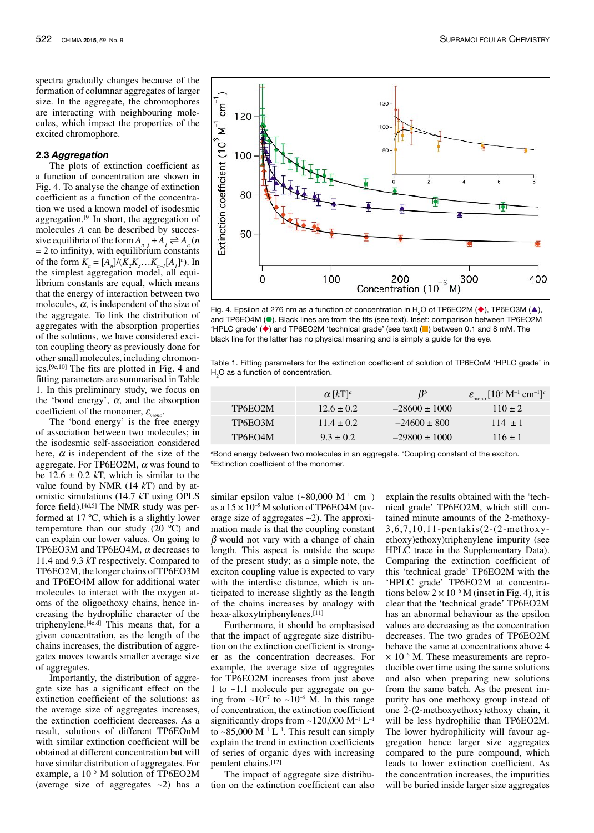spectra gradually changes because of the formation of columnar aggregates of larger size. In the aggregate, the chromophores are interacting with neighbouring molecules, which impact the properties of the excited chromophore.

#### 2.3 Aggregation

The plots of extinction coefficient as a function of concentration are shown in Fig. 4. To analyse the change of extinction coefficient as a function of the concentration we used a known model of isodesmic aggregation.<sup>[9]</sup> In short, the aggregation of molecules *<sup>A</sup>* can be described by successive equilibria of the form  $A_{n-1} + A_1 \rightleftharpoons A_n$  (*n*  $=$  2 to immity), with equilibrium constants<br>of the form  $K_n = [A_n]/(K_2K_3...K_{n-1}[A_1]^n)$ . In the simplest aggregation model, all equilibrium constants are equal, which means<br>that the energy of interaction between two that the energy of interaction between two molecules,  $\alpha$ , is independent of the size of the aggregate. To link the distribution of aggregates with the absorption properties of the solutions, we have considered exciton coupling theory as previously done for<br>other small molecules, including chromonother small molecules, including chromon $i$ cs.<sup>[9c,10]</sup> The fits are plotted in Fig. 4 and  $F_{\text{eff}}$ fitting parameters are summarised in Table 1. In this preliminary study, we focus on the 'bond energy',  $\alpha$ , and the absorption coefficient of the monomer, <sup>ε</sup> *mono* .

The bond energy is the free energy of association between two molecules; in the isodesmic self-association considered here,  $\alpha$  is independent of the size of the aggregate. For TP6EO2M,  $\alpha$  was found to be  $12.6 \pm 0.2$  kT, which is similar to the value found by NMR (14 *<sup>k</sup>*T) and by atomistic simulations (14.7 *<sup>k</sup>*<sup>T</sup> using OPLS force field).[4d,5] The NMR study was performed at 17 ºC, which is a slightly lower temperature than our study  $(20 \degree C)$  and can explain our lower values. On going to can explain our lower values. On going to TP6EO3M and TP6EO4M,  $\alpha$  decreases to 11.4 and 9.3 *<sup>k</sup>*<sup>T</sup> respectively. Compared to TP6EO2M, the longer chains of TP6EO3M and TP6EO4M allow for additional water molecules to interact with the oxygen atoms of the oligoethoxy chains, hence increasing the hydrophilic character of the creasing the hydrophilic character of the triphenylene.<sup>[4c,d]</sup> This means that, for a given concentration, as the length of the chains increases, the distribution of aggregates moves towards smaller average size of aggregates.

Importantly, the distribution of aggregate size has a significant effect on the extinction coefficient of the solutions: as the average size of aggregates increases, the extinction coefficient decreases. As a result, solutions of different TP6EOnM with similar extinction coefficient will be obtained at different concentration but will have similar distribution of aggregates.For example, a 10–5 M solution of TP6EO2M (average size of aggregates  $\sim$ 2) has a



Fig. 4. Epsilon at 276 nm as a function of concentration in H<sub>2</sub>O of TP6EO2M ( $\blacklozenge$ ), TP6EO3M ( $\blacktriangle$ ), and TP6EO4M (<sup>•</sup>). Black lines are from the fits (see text). Inset: comparison between TP6EO2M 'HPLC grade' ( $\blacklozenge$ ) and TP6EO2M 'technical grade' (see text) ( $\blacksquare$ ) between 0.1 and 8 mM. The black line for the latter has no physical meaning and is simply a guide for the eye.

Table 1. Fitting parameters for the extinction coefficient of solution of TP6EOnM 'HPLC grade' in H<sub>2</sub>O as a function of concentration.

|         | $\alpha$   $kT$   <sup>a</sup> | $B^b$             | $\varepsilon_{\text{mono}}$ [10 <sup>3</sup> M <sup>-1</sup> cm <sup>-1</sup> ] <sup>c</sup> |
|---------|--------------------------------|-------------------|----------------------------------------------------------------------------------------------|
| TP6EO2M | $12.6 \pm 0.2$                 | $-28600 \pm 1000$ | $110 \pm 2$                                                                                  |
| TP6EO3M | $11.4 + 0.2$                   | $-24600 \pm 800$  | $114 + 1$                                                                                    |
| TP6EO4M | $9.3 + 0.2$                    | $-29800 \pm 1000$ | $116 + 1$                                                                                    |

aBond energy between two molecules in an aggregate. **Coupling constant of the exciton**. <sup>c</sup>Extinction coefficient of the monomer.

similar epsilon value  $({\sim}80,000 \text{ M}^{-1} \text{ cm}^{-1})$ as a  $15 \times 10^{-5}$  M solution of TP6EO4M (average size of aggregates ~2). The approximation made is that the coupling constant  $\beta$  would not vary with a change of chain length. This aspect is outside the scope of the present study; as a simple note, the exciton coupling value is expected to vary with the interdisc distance, which is anticipated to increase slightly as the length of the chains increases by analogy with hexa-alkoxytriphenylenes.[11]

Furthermore, it should be emphasised that the impact of aggregate size distribution on the extinction coefficient is stronger as the concentration decreases. For example, the average size of aggregates for TP6EO2M increases from just above 1 to ~1.1 molecule per aggregate on going from  $\sim 10^{-7}$  to  $\sim 10^{-6}$  M. In this range of concentration, the extinction coefficient significantly drops from  $\approx$ 120,000 M<sup>-1</sup> L<sup>-1</sup> to  $\sim$ 85,000 M<sup>-1</sup> L<sup>-1</sup>. This result can simply explain the trend in extinction coefficients of series of organic dyes with increasing pendent chains.[12]

The impact of aggregate size distribution on the extinction coefficient can also explain the results obtained with the 'technical grade' TP6EO2M, which still contained minute amounts of the 2-methoxy-3,6,7,10,11-pentakis(2-(2-methoxyethoxy)ethoxy)triphenylene impurity (see HPLC trace in the Supplementary Data).<br>Comparing the extinction coefficient of Comparing the extinction coefficient of this 'technical grade' TP6EO2M with the 'HPLC grade' TP6EO2M at concentrations below  $2 \times 10^{-6}$  M (inset in Fig. 4), it is clear that the 'technical grade' TP6EO2M has an abnormal behaviour as the epsilon values are decreasing as the concentration decreases. The two grades of TP6EO2M behave the same at concentrations above 4  $\times$  10<sup>-6</sup> M. These measurements are reproducible over time using the same solutions and also when preparing new solutions from the same batch. As the present impurity has one methoxy group instead of one 2-(2-methoxyethoxy)ethoxy chain, it will be less hydrophilic than TP6EO2M. The lower hydrophilicity will favour aggregation hence larger size aggregates compared to the pure compound, which leads to lower extinction coefficient. As the concentration increases, the impurities will be buried inside larger size aggregates